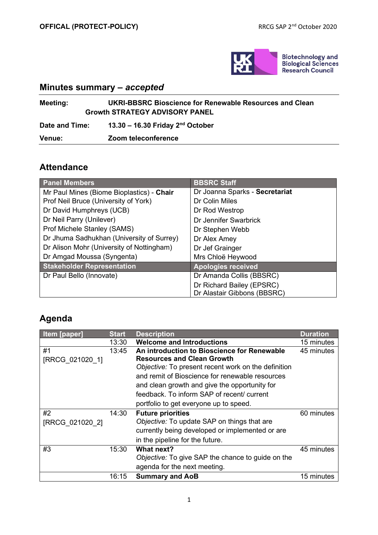

## **Minutes summary** *– accepted*

| <b>Meeting:</b> | UKRI-BBSRC Bioscience for Renewable Resources and Clean<br><b>Growth STRATEGY ADVISORY PANEL</b> |  |  |
|-----------------|--------------------------------------------------------------------------------------------------|--|--|
| Date and Time:  | 13.30 - 16.30 Friday $2nd$ October                                                               |  |  |
| <b>Venue:</b>   | Zoom teleconference                                                                              |  |  |

## **Attendance**

| <b>Panel Members</b>                      | <b>BBSRC Staff</b>             |  |
|-------------------------------------------|--------------------------------|--|
| Mr Paul Mines (Biome Bioplastics) - Chair | Dr Joanna Sparks - Secretariat |  |
| Prof Neil Bruce (University of York)      | Dr Colin Miles                 |  |
| Dr David Humphreys (UCB)                  | Dr Rod Westrop                 |  |
| Dr Neil Parry (Unilever)                  | Dr Jennifer Swarbrick          |  |
| Prof Michele Stanley (SAMS)               | Dr Stephen Webb                |  |
| Dr Jhuma Sadhukhan (University of Surrey) | Dr Alex Amey                   |  |
| Dr Alison Mohr (University of Nottingham) | Dr Jef Grainger                |  |
| Dr Amgad Moussa (Syngenta)                | Mrs Chloë Heywood              |  |
| <b>Stakeholder Representation</b>         | <b>Apologies received</b>      |  |
| Dr Paul Bello (Innovate)                  | Dr Amanda Collis (BBSRC)       |  |
|                                           | Dr Richard Bailey (EPSRC)      |  |
|                                           | Dr Alastair Gibbons (BBSRC)    |  |

## **Agenda**

| <b>Item [paper]</b> | <b>Start</b> | <b>Description</b>                                  | <b>Duration</b> |
|---------------------|--------------|-----------------------------------------------------|-----------------|
|                     | 13:30        | <b>Welcome and Introductions</b>                    | 15 minutes      |
| #1                  | 13:45        | An introduction to Bioscience for Renewable         | 45 minutes      |
| [RRCG 021020 1]     |              | <b>Resources and Clean Growth</b>                   |                 |
|                     |              | Objective: To present recent work on the definition |                 |
|                     |              | and remit of Bioscience for renewable resources     |                 |
|                     |              | and clean growth and give the opportunity for       |                 |
|                     |              | feedback. To inform SAP of recent/ current          |                 |
|                     |              | portfolio to get everyone up to speed.              |                 |
| #2                  | 14:30        | <b>Future priorities</b>                            | 60 minutes      |
| [RRCG 021020 2]     |              | Objective: To update SAP on things that are         |                 |
|                     |              | currently being developed or implemented or are     |                 |
|                     |              | in the pipeline for the future.                     |                 |
| #3                  | 15:30        | What next?                                          | 45 minutes      |
|                     |              | Objective: To give SAP the chance to guide on the   |                 |
|                     |              | agenda for the next meeting.                        |                 |
|                     | 16:15        | <b>Summary and AoB</b>                              | 15 minutes      |